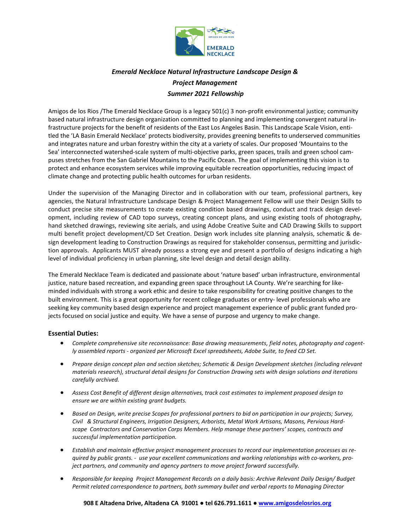

## *Emerald Necklace Natural Infrastructure Landscape Design & Project Management Summer 2021 Fellowship*

Amigos de los Rios /The Emerald Necklace Group is a legacy 501(c) 3 non-profit environmental justice; community based natural infrastructure design organization committed to planning and implementing convergent natural infrastructure projects for the benefit of residents of the East Los Angeles Basin. This Landscape Scale Vision, entitled the 'LA Basin Emerald Necklace' protects biodiversity, provides greening benefits to underserved communities and integrates nature and urban forestry within the city at a variety of scales. Our proposed 'Mountains to the Sea' interconnected watershed-scale system of multi-objective parks, green spaces, trails and green school campuses stretches from the San Gabriel Mountains to the Pacific Ocean. The goal of implementing this vision is to protect and enhance ecosystem services while improving equitable recreation opportunities, reducing impact of climate change and protecting public health outcomes for urban residents.

Under the supervision of the Managing Director and in collaboration with our team, professional partners, key agencies, the Natural Infrastructure Landscape Design & Project Management Fellow will use their Design Skills to conduct precise site measurements to create existing condition based drawings, conduct and track design development, including review of CAD topo surveys, creating concept plans, and using existing tools of photography, hand sketched drawings, reviewing site aerials, and using Adobe Creative Suite and CAD Drawing Skills to support multi benefit project development/CD Set Creation. Design work includes site planning analysis, schematic & design development leading to Construction Drawings as required for stakeholder consensus, permitting and jurisdiction approvals. Applicants MUST already possess a strong eye and present a portfolio of designs indicating a high level of individual proficiency in urban planning, site level design and detail design ability.

The Emerald Necklace Team is dedicated and passionate about 'nature based' urban infrastructure, environmental justice, nature based recreation, and expanding green space throughout LA County. We're searching for likeminded individuals with strong a work ethic and desire to take responsibility for creating positive changes to the built environment. This is a great opportunity for recent college graduates or entry- level professionals who are seeking key community based design experience and project management experience of public grant funded projects focused on social justice and equity. We have a sense of purpose and urgency to make change.

## **Essential Duties:**

- *Complete comprehensive site reconnaissance: Base drawing measurements, field notes, photography and cogently assembled reports - organized per Microsoft Excel spreadsheets, Adobe Suite, to feed CD Set.*
- *Prepare design concept plan and section sketches; Schematic & Design Development sketches (including relevant materials research), structural detail designs for Construction Drawing sets with design solutions and iterations carefully archived.*
- *Assess Cost Benefit of different design alternatives, track cost estimates to implement proposed design to ensure we are within existing grant budgets.*
- *Based on Design, write precise Scopes for professional partners to bid on participation in our projects; Survey, Civil & Structural Engineers, Irrigation Designers, Arborists, Metal Work Artisans, Masons, Pervious Hardscape Contractors and Conservation Corps Members. Help manage these partners' scopes, contracts and successful implementation participation.*
- *Establish and maintain effective project management processes to record our implementation processes as required by public grants. - use your excellent communications and working relationships with co-workers, project partners, and community and agency partners to move project forward successfully.*
- *Responsible for keeping Project Management Records on a daily basis: Archive Relevant Daily Design/ Budget Permit related correspondence to partners, both summary bullet and verbal reports to Managing Director*